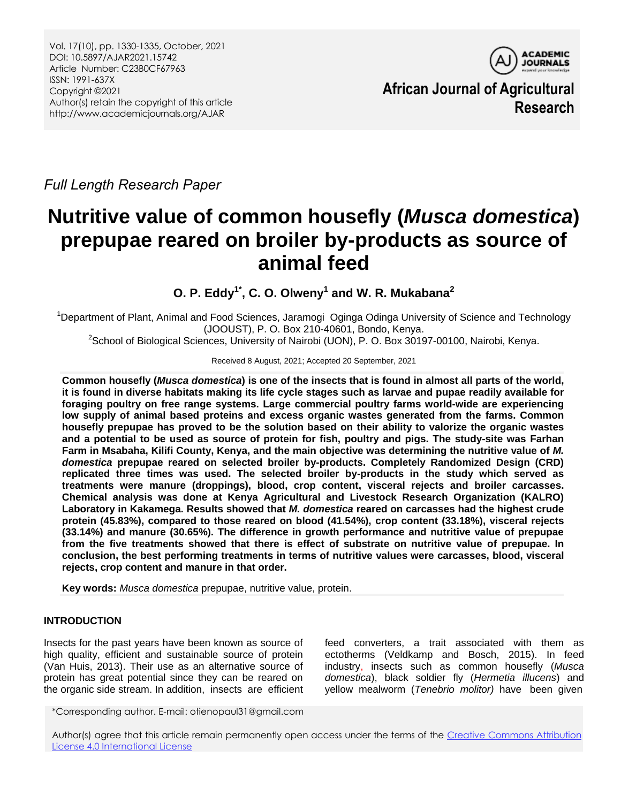

**African Journal of Agricultural Research**

*Full Length Research Paper*

# **Nutritive value of common housefly (***Musca domestica***) prepupae reared on broiler by-products as source of animal feed**

**O. P. Eddy1\* , C. O. Olweny<sup>1</sup> and W. R. Mukabana<sup>2</sup>**

<sup>1</sup>Department of Plant, Animal and Food Sciences, Jaramogi Oginga Odinga University of Science and Technology (JOOUST), P. O. Box 210-40601, Bondo, Kenya.

<sup>2</sup>School of Biological Sciences, University of Nairobi (UON), P. O. Box 30197-00100, Nairobi, Kenya.

Received 8 August, 2021; Accepted 20 September, 2021

**Common housefly (***Musca domestica***) is one of the insects that is found in almost all parts of the world, it is found in diverse habitats making its life cycle stages such as larvae and pupae readily available for foraging poultry on free range systems. Large commercial poultry farms world-wide are experiencing low supply of animal based proteins and excess organic wastes generated from the farms. Common housefly prepupae has proved to be the solution based on their ability to valorize the organic wastes and a potential to be used as source of protein for fish, poultry and pigs. The study-site was Farhan Farm in Msabaha, Kilifi County, Kenya, and the main objective was determining the nutritive value of** *M. domestica* **prepupae reared on selected broiler by-products. Completely Randomized Design (CRD) replicated three times was used. The selected broiler by-products in the study which served as treatments were manure (droppings), blood, crop content, visceral rejects and broiler carcasses. Chemical analysis was done at Kenya Agricultural and Livestock Research Organization (KALRO) Laboratory in Kakamega. Results showed that** *M. domestica* **reared on carcasses had the highest crude protein (45.83%), compared to those reared on blood (41.54%), crop content (33.18%), visceral rejects (33.14%) and manure (30.65%). The difference in growth performance and nutritive value of prepupae from the five treatments showed that there is effect of substrate on nutritive value of prepupae. In conclusion, the best performing treatments in terms of nutritive values were carcasses, blood, visceral rejects, crop content and manure in that order.**

**Key words:** *Musca domestica* prepupae, nutritive value, protein.

# **INTRODUCTION**

Insects for the past years have been known as source of high quality, efficient and sustainable source of protein (Van Huis, 2013). Their use as an alternative source of protein has great potential since they can be reared on the organic side stream. In addition, insects are efficient feed converters, a trait associated with them as ectotherms (Veldkamp and Bosch, 2015). In feed industry, insects such as common housefly (*Musca domestica*), black soldier fly (*Hermetia illucens*) and yellow mealworm (*Tenebrio molitor)* have been given

\*Corresponding author. E-mail: otienopaul31@gmail.com

Author(s) agree that this article remain permanently open access under the terms of the Creative Commons Attribution [License 4.0 International License](http://creativecommons.org/licenses/by/4.0/deed.en_US)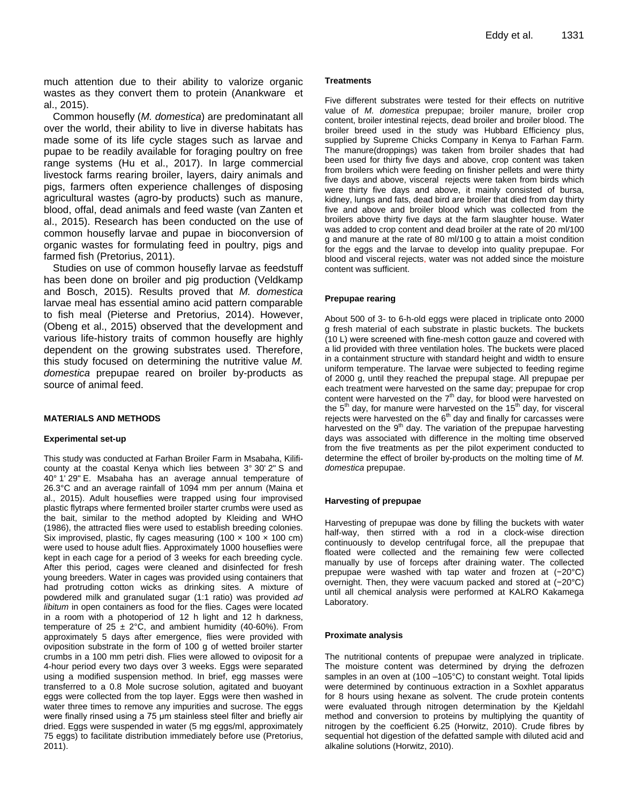much attention due to their ability to valorize organic wastes as they convert them to protein (Anankware et al., 2015).

Common housefly (*M. domestica*) are predominatant all over the world, their ability to live in diverse habitats has made some of its life cycle stages such as larvae and pupae to be readily available for foraging poultry on free range systems (Hu et al., 2017). In large commercial livestock farms rearing broiler, layers, dairy animals and pigs, farmers often experience challenges of disposing agricultural wastes (agro-by products) such as manure, blood, offal, dead animals and feed waste (van Zanten et al., 2015). Research has been conducted on the use of common housefly larvae and pupae in bioconversion of organic wastes for formulating feed in poultry, pigs and farmed fish (Pretorius, 2011).

Studies on use of common housefly larvae as feedstuff has been done on broiler and pig production (Veldkamp and Bosch, 2015). Results proved that *M. domestica* larvae meal has essential amino acid pattern comparable to fish meal (Pieterse and Pretorius, 2014). However, (Obeng et al., 2015) observed that the development and various life-history traits of common housefly are highly dependent on the growing substrates used. Therefore, this study focused on determining the nutritive value *M. domestica* prepupae reared on broiler by-products as source of animal feed.

### **MATERIALS AND METHODS**

### **Experimental set-up**

This study was conducted at Farhan Broiler Farm in Msabaha, Kilificounty at the coastal Kenya which lies between 3° 30' 2" S and 40° 1' 29" E. Msabaha has an average annual temperature of 26.3°C and an average rainfall of 1094 mm per annum (Maina et al., 2015). Adult houseflies were trapped using four improvised plastic flytraps where fermented broiler starter crumbs were used as the bait, similar to the method adopted by Kleiding and WHO (1986), the attracted flies were used to establish breeding colonies. Six improvised, plastic, fly cages measuring  $(100 \times 100 \times 100 \text{ cm})$ were used to house adult flies. Approximately 1000 houseflies were kept in each cage for a period of 3 weeks for each breeding cycle. After this period, cages were cleaned and disinfected for fresh young breeders. Water in cages was provided using containers that had protruding cotton wicks as drinking sites. A mixture of powdered milk and granulated sugar (1:1 ratio) was provided *ad libitum* in open containers as food for the flies. Cages were located in a room with a photoperiod of 12 h light and 12 h darkness, temperature of  $25 \pm 2^{\circ}$ C, and ambient humidity (40-60%). From approximately 5 days after emergence, flies were provided with oviposition substrate in the form of 100 g of wetted broiler starter crumbs in a 100 mm petri dish. Flies were allowed to oviposit for a 4-hour period every two days over 3 weeks. Eggs were separated using a modified suspension method. In brief, egg masses were transferred to a 0.8 Mole sucrose solution, agitated and buoyant eggs were collected from the top layer. Eggs were then washed in water three times to remove any impurities and sucrose. The eggs were finally rinsed using a 75 μm stainless steel filter and briefly air dried. Eggs were suspended in water (5 mg eggs/ml, approximately 75 eggs) to facilitate distribution immediately before use (Pretorius, 2011).

## **Treatments**

Five different substrates were tested for their effects on nutritive value of *M. domestica* prepupae; broiler manure, broiler crop content, broiler intestinal rejects, dead broiler and broiler blood. The broiler breed used in the study was Hubbard Efficiency plus, supplied by Supreme Chicks Company in Kenya to Farhan Farm. The manure(droppings) was taken from broiler shades that had been used for thirty five days and above, crop content was taken from broilers which were feeding on finisher pellets and were thirty five days and above, visceral rejects were taken from birds which were thirty five days and above, it mainly consisted of bursa, kidney, lungs and fats, dead bird are broiler that died from day thirty five and above and broiler blood which was collected from the broilers above thirty five days at the farm slaughter house. Water was added to crop content and dead broiler at the rate of 20 ml/100 g and manure at the rate of 80 ml/100 g to attain a moist condition for the eggs and the larvae to develop into quality prepupae. For blood and visceral rejects, water was not added since the moisture content was sufficient.

### **Prepupae rearing**

About 500 of 3- to 6-h-old eggs were placed in triplicate onto 2000 g fresh material of each substrate in plastic buckets. The buckets (10 L) were screened with fine-mesh cotton gauze and covered with a lid provided with three ventilation holes. The buckets were placed in a containment structure with standard height and width to ensure uniform temperature. The larvae were subjected to feeding regime of 2000 g, until they reached the prepupal stage. All prepupae per each treatment were harvested on the same day; prepupae for crop content were harvested on the  $7<sup>th</sup>$  day, for blood were harvested on the  $5<sup>th</sup>$  day, for manure were harvested on the 15<sup>th</sup> day, for visceral rejects were harvested on the  $6<sup>th</sup>$  day and finally for carcasses were harvested on the 9<sup>th</sup> day. The variation of the prepupae harvesting days was associated with difference in the molting time observed from the five treatments as per the pilot experiment conducted to determine the effect of broiler by-products on the molting time of *M. domestica* prepupae.

### **Harvesting of prepupae**

Harvesting of prepupae was done by filling the buckets with water half-way, then stirred with a rod in a clock-wise direction continuously to develop centrifugal force, all the prepupae that floated were collected and the remaining few were collected manually by use of forceps after draining water. The collected prepupae were washed with tap water and frozen at (−20°C) overnight. Then, they were vacuum packed and stored at (−20°C) until all chemical analysis were performed at KALRO Kakamega Laboratory.

### **Proximate analysis**

The nutritional contents of prepupae were analyzed in triplicate. The moisture content was determined by drying the defrozen samples in an oven at (100 –105°C) to constant weight. Total lipids were determined by continuous extraction in a Soxhlet apparatus for 8 hours using hexane as solvent. The crude protein contents were evaluated through nitrogen determination by the Kjeldahl method and conversion to proteins by multiplying the quantity of nitrogen by the coefficient 6.25 (Horwitz, 2010). Crude fibres by sequential hot digestion of the defatted sample with diluted acid and alkaline solutions (Horwitz, 2010).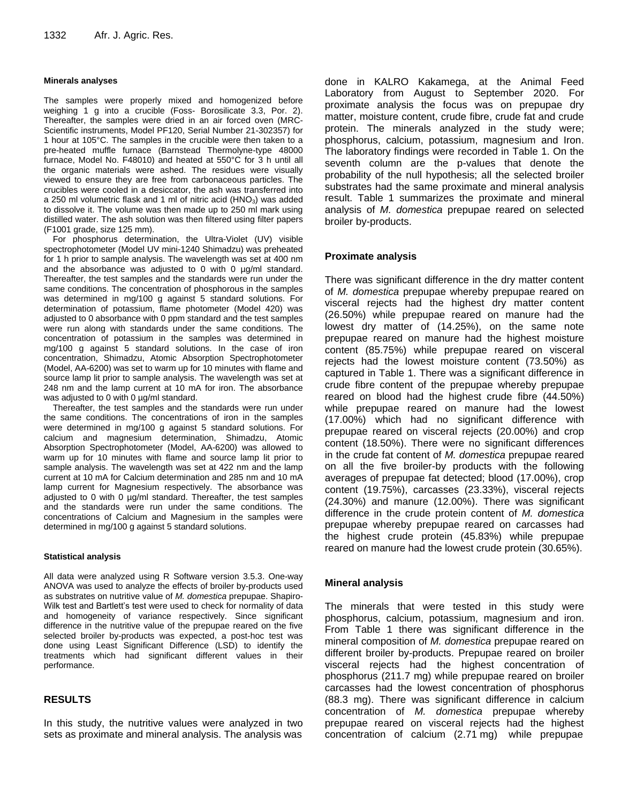#### **Minerals analyses**

The samples were properly mixed and homogenized before weighing 1 g into a crucible (Foss- Borosilicate 3.3, Por. 2). Thereafter, the samples were dried in an air forced oven (MRC-Scientific instruments, Model PF120, Serial Number 21-302357) for 1 hour at 105°C. The samples in the crucible were then taken to a pre-heated muffle furnace (Barnstead Thermolyne-type 48000 furnace, Model No. F48010) and heated at 550°C for 3 h until all the organic materials were ashed. The residues were visually viewed to ensure they are free from carbonaceous particles. The crucibles were cooled in a desiccator, the ash was transferred into a 250 ml volumetric flask and 1 ml of nitric acid  $(HNO<sub>3</sub>)$  was added to dissolve it. The volume was then made up to 250 ml mark using distilled water. The ash solution was then filtered using filter papers (F1001 grade, size 125 mm).

For phosphorus determination, the Ultra-Violet (UV) visible spectrophotometer (Model UV mini-1240 Shimadzu) was preheated for 1 h prior to sample analysis. The wavelength was set at 400 nm and the absorbance was adjusted to 0 with 0 µg/ml standard. Thereafter, the test samples and the standards were run under the same conditions. The concentration of phosphorous in the samples was determined in mg/100 g against 5 standard solutions. For determination of potassium, flame photometer (Model 420) was adjusted to 0 absorbance with 0 ppm standard and the test samples were run along with standards under the same conditions. The concentration of potassium in the samples was determined in mg/100 g against 5 standard solutions. In the case of iron concentration, Shimadzu, Atomic Absorption Spectrophotometer (Model, AA-6200) was set to warm up for 10 minutes with flame and source lamp lit prior to sample analysis. The wavelength was set at 248 nm and the lamp current at 10 mA for iron. The absorbance was adjusted to 0 with 0  $\mu$ g/ml standard.

Thereafter, the test samples and the standards were run under the same conditions. The concentrations of iron in the samples were determined in mg/100 g against 5 standard solutions. For calcium and magnesium determination, Shimadzu, Atomic Absorption Spectrophotometer (Model, AA-6200) was allowed to warm up for 10 minutes with flame and source lamp lit prior to sample analysis. The wavelength was set at 422 nm and the lamp current at 10 mA for Calcium determination and 285 nm and 10 mA lamp current for Magnesium respectively. The absorbance was adjusted to 0 with 0 µg/ml standard. Thereafter, the test samples and the standards were run under the same conditions. The concentrations of Calcium and Magnesium in the samples were determined in mg/100 g against 5 standard solutions.

### **Statistical analysis**

All data were analyzed using R Software version 3.5.3. One-way ANOVA was used to analyze the effects of broiler by-products used as substrates on nutritive value of *M. domestica* prepupae. Shapiro-Wilk test and Bartlett's test were used to check for normality of data and homogeneity of variance respectively. Since significant difference in the nutritive value of the prepupae reared on the five selected broiler by-products was expected, a post-hoc test was done using Least Significant Difference (LSD) to identify the treatments which had significant different values in their performance.

## **RESULTS**

In this study, the nutritive values were analyzed in two sets as proximate and mineral analysis. The analysis was done in KALRO Kakamega, at the Animal Feed Laboratory from August to September 2020. For proximate analysis the focus was on prepupae dry matter, moisture content, crude fibre, crude fat and crude protein. The minerals analyzed in the study were; phosphorus, calcium, potassium, magnesium and Iron. The laboratory findings were recorded in Table 1. On the seventh column are the p-values that denote the probability of the null hypothesis; all the selected broiler substrates had the same proximate and mineral analysis result. Table 1 summarizes the proximate and mineral analysis of *M. domestica* prepupae reared on selected broiler by-products.

## **Proximate analysis**

There was significant difference in the dry matter content of *M. domestica* prepupae whereby prepupae reared on visceral rejects had the highest dry matter content (26.50%) while prepupae reared on manure had the lowest dry matter of (14.25%), on the same note prepupae reared on manure had the highest moisture content (85.75%) while prepupae reared on visceral rejects had the lowest moisture content (73.50%) as captured in Table 1. There was a significant difference in crude fibre content of the prepupae whereby prepupae reared on blood had the highest crude fibre (44.50%) while prepupae reared on manure had the lowest (17.00%) which had no significant difference with prepupae reared on visceral rejects (20.00%) and crop content (18.50%). There were no significant differences in the crude fat content of *M. domestica* prepupae reared on all the five broiler-by products with the following averages of prepupae fat detected; blood (17.00%), crop content (19.75%), carcasses (23.33%), visceral rejects (24.30%) and manure (12.00%). There was significant difference in the crude protein content of *M. domestica*  prepupae whereby prepupae reared on carcasses had the highest crude protein (45.83%) while prepupae reared on manure had the lowest crude protein (30.65%).

## **Mineral analysis**

The minerals that were tested in this study were phosphorus, calcium, potassium, magnesium and iron. From Table 1 there was significant difference in the mineral composition of *M. domestica* prepupae reared on different broiler by-products. Prepupae reared on broiler visceral rejects had the highest concentration of phosphorus (211.7 mg) while prepupae reared on broiler carcasses had the lowest concentration of phosphorus (88.3 mg). There was significant difference in calcium concentration of *M. domestica* prepupae whereby prepupae reared on visceral rejects had the highest concentration of calcium (2.71 mg) while prepupae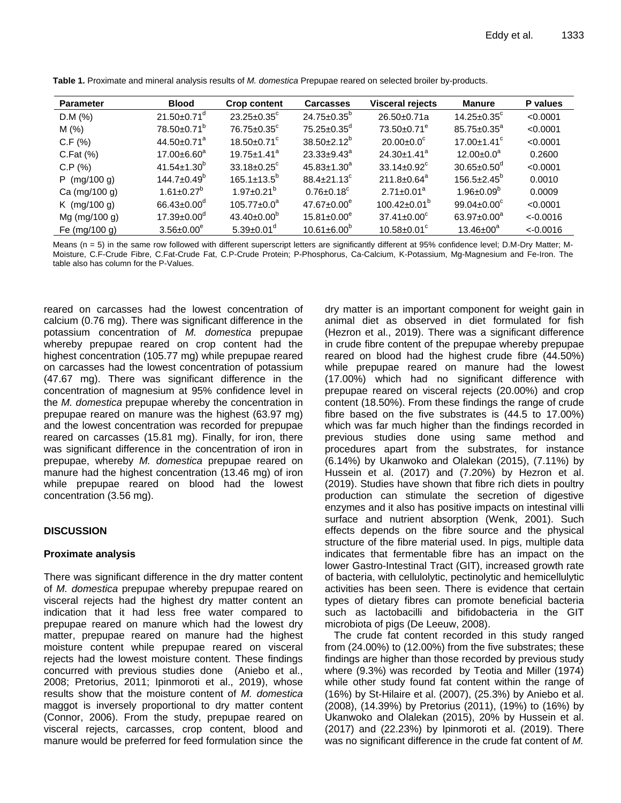| <b>Parameter</b>     | <b>Blood</b>                  | <b>Crop content</b>                  | <b>Carcasses</b>              | <b>Visceral rejects</b>       | <b>Manure</b>                 | P values    |
|----------------------|-------------------------------|--------------------------------------|-------------------------------|-------------------------------|-------------------------------|-------------|
| D.M (%)              | $21.50 \pm 0.71$ <sup>d</sup> | $23.25 \pm 0.35$ °                   | $24.75 \pm 0.35^b$            | 26.50±0.71a                   | $14.25 \pm 0.35$ <sup>c</sup> | < 0.0001    |
| M(%)                 | 78.50±0.71 <sup>b</sup>       | $76.75 \pm 0.35$ <sup>c</sup>        | $75.25 \pm 0.35$ <sup>d</sup> | $73.50 \pm 0.71^e$            | $85.75 \pm 0.35^a$            | < 0.0001    |
| C.F(%)               | 44.50 $\pm$ 0.71 <sup>a</sup> | 18.50 $\pm$ 0.71 $\mathrm{^{\circ}}$ | $38.50 \pm 2.12^b$            | $20.00 \pm 0.0^{\circ}$       | $17.00 \pm 1.41$ <sup>c</sup> | < 0.0001    |
| $C.Fat$ $(\%)$       | $17.00 \pm 6.60^a$            | $19.75 \pm 1.41^a$                   | $23.33 \pm 9.43^a$            | $24.30 \pm 1.41$ <sup>a</sup> | $12.00 \pm 0.0^a$             | 0.2600      |
| C.P.(%)              | $41.54 \pm 1.30^{\circ}$      | $33.18 \pm 0.25$ <sup>c</sup>        | $45.83 \pm 1.30^a$            | $33.14 \pm 0.92$ <sup>c</sup> | $30.65 \pm 0.50$ <sup>d</sup> | < 0.0001    |
| $P$ (mg/100 g)       | $144.7 \pm 0.49^b$            | $165.1 \pm 13.5^{\circ}$             | $88.4 \pm 21.13^c$            | $211.8 \pm 0.64^a$            | $156.5 \pm 2.45^{\circ}$      | 0.0010      |
| Ca (mg/100 g)        | $1.61 \pm 0.27$ <sup>b</sup>  | $1.97 \pm 0.21^b$                    | $0.76 \pm 0.18$ <sup>c</sup>  | $2.71 \pm 0.01^a$             | $1.96 \pm 0.09^b$             | 0.0009      |
| $K \, (mg/100 \, g)$ | $66.43 \pm 0.00$ <sup>d</sup> | $105.77 \pm 0.0^a$                   | $47.67 \pm 0.00^e$            | $100.42 \pm 0.01^{\circ}$     | $99.04 \pm 0.00^{\circ}$      | < 0.0001    |
| Mg (mg/100 g)        | $17.39 \pm 0.00$ <sup>d</sup> | $43.40 \pm 0.00^{\circ}$             | $15.81 \pm 0.00^e$            | $37.41 \pm 0.00^{\circ}$      | 63.97 $\pm$ 0.00 <sup>a</sup> | $< -0.0016$ |
| Fe (mg/100 g)        | $3.56 \pm 0.00^e$             | $5.39 \pm 0.01$ <sup>d</sup>         | $10.61 \pm 6.00^{\circ}$      | $10.58 \pm 0.01$ <sup>c</sup> | $13.46 \pm 00^a$              | $< -0.0016$ |

**Table 1.** Proximate and mineral analysis results of *M. domestica* Prepupae reared on selected broiler by-products.

Means (n = 5) in the same row followed with different superscript letters are significantly different at 95% confidence level; D.M-Dry Matter; M-Moisture, C.F-Crude Fibre, C.Fat-Crude Fat, C.P-Crude Protein; P-Phosphorus, Ca-Calcium, K-Potassium, Mg-Magnesium and Fe-Iron. The table also has column for the P-Values.

reared on carcasses had the lowest concentration of calcium (0.76 mg). There was significant difference in the potassium concentration of *M. domestica* prepupae whereby prepupae reared on crop content had the highest concentration (105.77 mg) while prepupae reared on carcasses had the lowest concentration of potassium (47.67 mg). There was significant difference in the concentration of magnesium at 95% confidence level in the *M. domestica* prepupae whereby the concentration in prepupae reared on manure was the highest (63.97 mg) and the lowest concentration was recorded for prepupae reared on carcasses (15.81 mg). Finally, for iron, there was significant difference in the concentration of iron in prepupae, whereby *M. domestica* prepupae reared on manure had the highest concentration (13.46 mg) of iron while prepupae reared on blood had the lowest concentration (3.56 mg).

# **DISCUSSION**

## **Proximate analysis**

There was significant difference in the dry matter content of *M. domestica* prepupae whereby prepupae reared on visceral rejects had the highest dry matter content an indication that it had less free water compared to prepupae reared on manure which had the lowest dry matter, prepupae reared on manure had the highest moisture content while prepupae reared on visceral rejects had the lowest moisture content. These findings concurred with previous studies done (Aniebo et al., 2008; Pretorius, 2011; Ipinmoroti et al., 2019), whose results show that the moisture content of *M. domestica* maggot is inversely proportional to dry matter content (Connor, 2006). From the study, prepupae reared on visceral rejects, carcasses, crop content, blood and manure would be preferred for feed formulation since the dry matter is an important component for weight gain in animal diet as observed in diet formulated for fish (Hezron et al., 2019). There was a significant difference in crude fibre content of the prepupae whereby prepupae reared on blood had the highest crude fibre (44.50%) while prepupae reared on manure had the lowest (17.00%) which had no significant difference with prepupae reared on visceral rejects (20.00%) and crop content (18.50%). From these findings the range of crude fibre based on the five substrates is (44.5 to 17.00%) which was far much higher than the findings recorded in previous studies done using same method and procedures apart from the substrates, for instance (6.14%) by Ukanwoko and Olalekan (2015), (7.11%) by Hussein et al. (2017) and (7.20%) by Hezron et al. (2019). Studies have shown that fibre rich diets in poultry production can stimulate the secretion of digestive enzymes and it also has positive impacts on intestinal villi surface and nutrient absorption (Wenk, 2001). Such effects depends on the fibre source and the physical structure of the fibre material used. In pigs, multiple data indicates that fermentable fibre has an impact on the lower Gastro-Intestinal Tract (GIT), increased growth rate of bacteria, with cellulolytic, pectinolytic and hemicellulytic activities has been seen. There is evidence that certain types of dietary fibres can promote beneficial bacteria such as lactobacilli and bifidobacteria in the GIT microbiota of pigs (De Leeuw, 2008).

The crude fat content recorded in this study ranged from (24.00%) to (12.00%) from the five substrates; these findings are higher than those recorded by previous study where (9.3%) was recorded by Teotia and Miller (1974) while other study found fat content within the range of (16%) by St‐Hilaire et al. (2007), (25.3%) by Aniebo et al. (2008), (14.39%) by Pretorius (2011), (19%) to (16%) by Ukanwoko and Olalekan (2015), 20% by Hussein et al. (2017) and (22.23%) by Ipinmoroti et al. (2019). There was no significant difference in the crude fat content of *M.*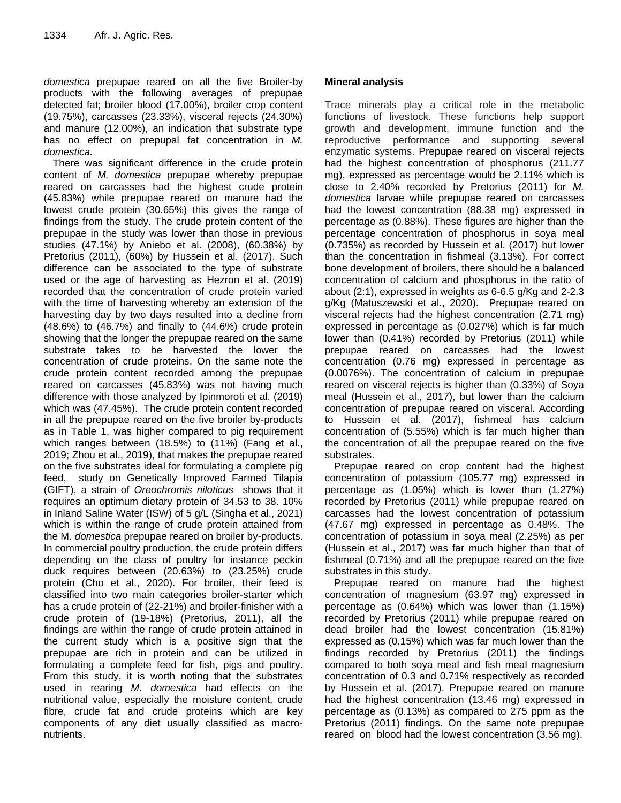*domestica* prepupae reared on all the five Broiler-by products with the following averages of prepupae detected fat; broiler blood (17.00%), broiler crop content (19.75%), carcasses (23.33%), visceral rejects (24.30%) and manure (12.00%), an indication that substrate type has no effect on prepupal fat concentration in *M. domestica.*

There was significant difference in the crude protein content of *M. domestica* prepupae whereby prepupae reared on carcasses had the highest crude protein (45.83%) while prepupae reared on manure had the lowest crude protein (30.65%) this gives the range of findings from the study. The crude protein content of the prepupae in the study was lower than those in previous studies (47.1%) by Aniebo et al. (2008), (60.38%) by Pretorius (2011), (60%) by Hussein et al. (2017). Such difference can be associated to the type of substrate used or the age of harvesting as Hezron et al. (2019) recorded that the concentration of crude protein varied with the time of harvesting whereby an extension of the harvesting day by two days resulted into a decline from (48.6%) to (46.7%) and finally to (44.6%) crude protein showing that the longer the prepupae reared on the same substrate takes to be harvested the lower the concentration of crude proteins. On the same note the crude protein content recorded among the prepupae reared on carcasses (45.83%) was not having much difference with those analyzed by Ipinmoroti et al. (2019) which was (47.45%). The crude protein content recorded in all the prepupae reared on the five broiler by-products as in Table 1, was higher compared to pig requirement which ranges between (18.5%) to (11%) (Fang et al., 2019; Zhou et al., 2019), that makes the prepupae reared on the five substrates ideal for formulating a complete pig feed, study on Genetically Improved Farmed Tilapia (GIFT), a strain of *Oreochromis niloticus* shows that it requires an optimum dietary protein of 34.53 to 38. 10% in Inland Saline Water (ISW) of 5 g/L (Singha et al., 2021) which is within the range of crude protein attained from the M. *domestica* prepupae reared on broiler by-products. In commercial poultry production, the crude protein differs depending on the class of poultry for instance peckin duck requires between (20.63%) to (23.25%) crude protein (Cho et al., 2020). For broiler, their feed is classified into two main categories broiler-starter which has a crude protein of (22-21%) and broiler-finisher with a crude protein of (19-18%) (Pretorius, 2011), all the findings are within the range of crude protein attained in the current study which is a positive sign that the prepupae are rich in protein and can be utilized in formulating a complete feed for fish, pigs and poultry. From this study, it is worth noting that the substrates used in rearing *M. domestica* had effects on the nutritional value, especially the moisture content, crude fibre, crude fat and crude proteins which are key components of any diet usually classified as macronutrients.

# **Mineral analysis**

Trace minerals play a critical role in the metabolic functions of livestock. These functions help support growth and development, immune function and the reproductive performance and supporting several enzymatic systems. Prepupae reared on visceral rejects had the highest concentration of phosphorus (211.77 mg), expressed as percentage would be 2.11% which is close to 2.40% recorded by Pretorius (2011) for *M. domestica* larvae while prepupae reared on carcasses had the lowest concentration (88.38 mg) expressed in percentage as (0.88%). These figures are higher than the percentage concentration of phosphorus in soya meal (0.735%) as recorded by Hussein et al. (2017) but lower than the concentration in fishmeal (3.13%). For correct bone development of broilers, there should be a balanced concentration of calcium and phosphorus in the ratio of about (2:1), expressed in weights as 6-6.5 g/Kg and 2-2.3 g/Kg (Matuszewski et al., 2020). Prepupae reared on visceral rejects had the highest concentration (2.71 mg) expressed in percentage as (0.027%) which is far much lower than (0.41%) recorded by Pretorius (2011) while prepupae reared on carcasses had the lowest concentration (0.76 mg) expressed in percentage as (0.0076%). The concentration of calcium in prepupae reared on visceral rejects is higher than (0.33%) of Soya meal (Hussein et al., 2017), but lower than the calcium concentration of prepupae reared on visceral. According to Hussein et al. (2017), fishmeal has calcium concentration of (5.55%) which is far much higher than the concentration of all the prepupae reared on the five substrates.

Prepupae reared on crop content had the highest concentration of potassium (105.77 mg) expressed in percentage as (1.05%) which is lower than (1.27%) recorded by Pretorius (2011) while prepupae reared on carcasses had the lowest concentration of potassium (47.67 mg) expressed in percentage as 0.48%. The concentration of potassium in soya meal (2.25%) as per (Hussein et al., 2017) was far much higher than that of fishmeal (0.71%) and all the prepupae reared on the five substrates in this study.

Prepupae reared on manure had the highest concentration of magnesium (63.97 mg) expressed in percentage as (0.64%) which was lower than (1.15%) recorded by Pretorius (2011) while prepupae reared on dead broiler had the lowest concentration (15.81%) expressed as (0.15%) which was far much lower than the findings recorded by Pretorius (2011) the findings compared to both soya meal and fish meal magnesium concentration of 0.3 and 0.71% respectively as recorded by Hussein et al. (2017). Prepupae reared on manure had the highest concentration (13.46 mg) expressed in percentage as (0.13%) as compared to 275 ppm as the Pretorius (2011) findings. On the same note prepupae reared on blood had the lowest concentration (3.56 mg),